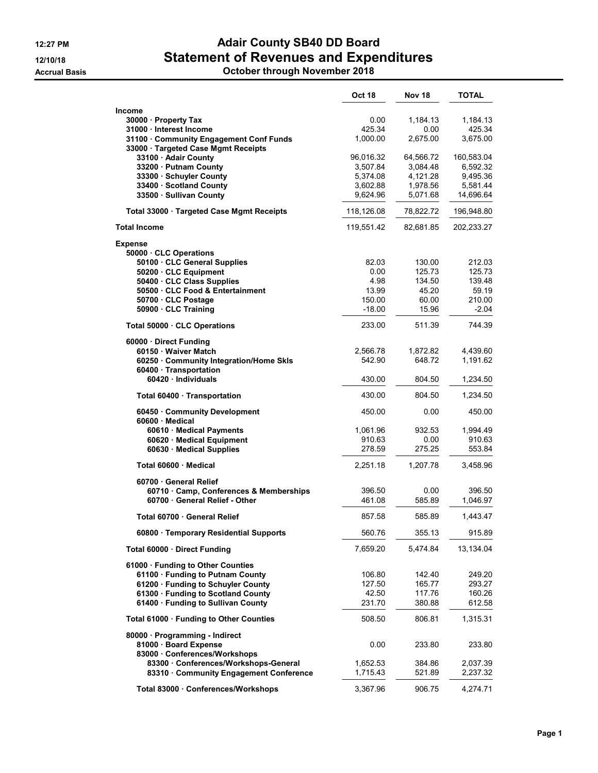## 12:27 PM **Adair County SB40 DD Board** 12/10/18 **Statement of Revenues and Expenditures**

Accrual Basis October through November 2018

|                                                                                | <b>Oct 18</b>      | <b>Nov 18</b>      | <b>TOTAL</b>         |
|--------------------------------------------------------------------------------|--------------------|--------------------|----------------------|
| <b>Income</b>                                                                  |                    |                    |                      |
| 30000 · Property Tax                                                           | 0.00               | 1,184.13           | 1,184.13             |
| 31000 · Interest Income                                                        | 425.34             | 0.00               | 425.34               |
| 31100 · Community Engagement Conf Funds<br>33000 · Targeted Case Mgmt Receipts | 1,000.00           | 2,675.00           | 3,675.00             |
| 33100 · Adair County                                                           | 96,016.32          | 64.566.72          | 160,583.04           |
| 33200 · Putnam County                                                          | 3,507.84           | 3,084.48           | 6,592.32             |
| 33300 · Schuyler County                                                        | 5,374.08           | 4,121.28           | 9,495.36             |
| 33400 · Scotland County                                                        | 3,602.88           | 1,978.56           | 5,581.44             |
| 33500 · Sullivan County                                                        | 9,624.96           | 5,071.68           | 14,696.64            |
| Total 33000 · Targeted Case Mgmt Receipts                                      | 118,126.08         | 78,822.72          | 196,948.80           |
| <b>Total Income</b>                                                            | 119,551.42         | 82,681.85          | 202,233.27           |
| <b>Expense</b>                                                                 |                    |                    |                      |
| 50000 CLC Operations                                                           |                    |                    |                      |
| 50100 · CLC General Supplies                                                   | 82.03              | 130.00             | 212.03               |
| 50200 · CLC Equipment                                                          | 0.00               | 125.73             | 125.73               |
| 50400 · CLC Class Supplies                                                     | 4.98               | 134.50             | 139.48               |
| 50500 CLC Food & Entertainment                                                 | 13.99              | 45.20              | 59.19                |
| 50700 · CLC Postage                                                            | 150.00             | 60.00              | 210.00               |
| 50900 · CLC Training                                                           | $-18.00$           | 15.96              | $-2.04$              |
| Total 50000 CLC Operations                                                     | 233.00             | 511.39             | 744.39               |
| 60000 Direct Funding                                                           |                    |                    |                      |
| 60150 · Waiver Match                                                           | 2,566.78<br>542.90 | 1.872.82<br>648.72 | 4,439.60<br>1,191.62 |
| 60250 · Community Integration/Home Skls<br>60400 Transportation                |                    |                    |                      |
| 60420 · Individuals                                                            | 430.00             | 804.50             | 1,234.50             |
| Total 60400 · Transportation                                                   | 430.00             | 804.50             | 1,234.50             |
| 60450 · Community Development<br>60600 Medical                                 | 450.00             | 0.00               | 450.00               |
| 60610 · Medical Payments                                                       | 1,061.96           | 932.53             | 1,994.49             |
| 60620 · Medical Equipment                                                      | 910.63             | 0.00               | 910.63               |
| 60630 · Medical Supplies                                                       | 278.59             | 275.25             | 553.84               |
| Total 60600 Medical                                                            | 2,251.18           | 1,207.78           | 3,458.96             |
| 60700 General Relief                                                           |                    |                    |                      |
| 60710 Camp, Conferences & Memberships                                          | 396.50             | 0.00               | 396.50               |
| 60700 · General Relief - Other                                                 | 461.08             | 585.89             | 1,046.97             |
| Total 60700 General Relief                                                     | 857.58             | 585.89             | 1,443.47             |
| 60800 · Temporary Residential Supports                                         | 560.76             | 355.13             | 915.89               |
| Total 60000 Direct Funding                                                     | 7,659.20           | 5,474.84           | 13,134.04            |
| 61000 · Funding to Other Counties                                              |                    |                    |                      |
| 61100 · Funding to Putnam County                                               | 106.80             | 142.40             | 249.20               |
| 61200 · Funding to Schuyler County                                             | 127.50             | 165.77             | 293.27               |
| 61300 · Funding to Scotland County                                             | 42.50              | 117.76             | 160.26               |
| 61400 · Funding to Sullivan County                                             | 231.70             | 380.88             | 612.58               |
| Total 61000 · Funding to Other Counties                                        | 508.50             | 806.81             | 1,315.31             |
| 80000 · Programming - Indirect                                                 |                    |                    |                      |
| 81000 · Board Expense                                                          | 0.00               | 233.80             | 233.80               |
| 83000 · Conferences/Workshops                                                  |                    |                    |                      |
| 83300 Conferences/Workshops-General                                            | 1,652.53           | 384.86             | 2,037.39             |
| 83310 Community Engagement Conference                                          | 1,715.43           | 521.89             | 2,237.32             |
| Total 83000 · Conferences/Workshops                                            | 3,367.96           | 906.75             | 4,274.71             |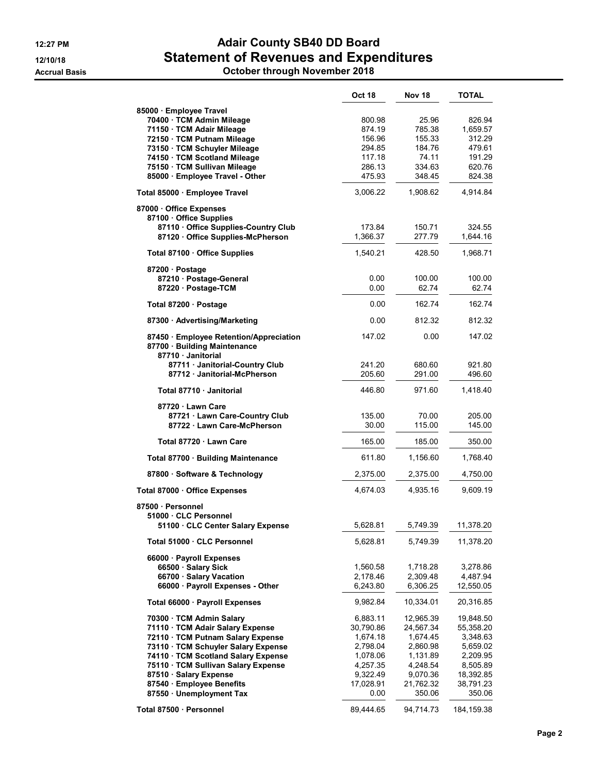## 12:27 PM **Adair County SB40 DD Board** 12/10/18 **Statement of Revenues and Expenditures**

Accrual Basis October through November 2018

|                                                                                             | <b>Oct 18</b>   | <b>Nov 18</b>   | TOTAL              |
|---------------------------------------------------------------------------------------------|-----------------|-----------------|--------------------|
| 85000 · Employee Travel<br>70400 · TCM Admin Mileage                                        | 800.98          | 25.96           | 826.94<br>1,659.57 |
| 71150 · TCM Adair Mileage                                                                   | 874.19          | 785.38          |                    |
| 72150 · TCM Putnam Mileage                                                                  | 156.96          | 155.33          | 312.29             |
| 73150 · TCM Schuyler Mileage                                                                | 294.85          | 184.76          | 479.61             |
| 74150 · TCM Scotland Mileage                                                                | 117.18          | 74.11           | 191.29             |
| 75150 · TCM Sullivan Mileage                                                                | 286.13          | 334.63          | 620.76             |
| 85000 · Employee Travel - Other                                                             | 475.93          | 348.45          | 824.38             |
| Total 85000 · Employee Travel                                                               | 3,006.22        | 1,908.62        | 4,914.84           |
| 87000 Office Expenses<br>87100 Office Supplies<br>87110 Office Supplies-Country Club        | 173.84          | 150.71          | 324.55             |
| 87120 Office Supplies-McPherson                                                             | 1,366.37        | 277.79          | 1,644.16           |
| Total 87100 · Office Supplies                                                               | 1,540.21        | 428.50          | 1,968.71           |
| 87200 · Postage                                                                             |                 |                 |                    |
| 87210 Postage-General                                                                       | 0.00            | 100.00          | 100.00             |
| 87220 · Postage-TCM                                                                         | 0.00            | 62.74           | 62.74              |
| Total 87200 · Postage                                                                       | 0.00            | 162.74          | 162.74             |
| 87300 · Advertising/Marketing                                                               | 0.00            | 812.32          | 812.32             |
| 87450 · Employee Retention/Appreciation<br>87700 · Building Maintenance<br>87710 Janitorial | 147.02          | 0.00            | 147.02             |
| 87711 · Janitorial-Country Club                                                             | 241.20          | 680.60          | 921.80             |
| 87712 · Janitorial-McPherson                                                                | 205.60          | 291.00          | 496.60             |
| Total 87710 Janitorial                                                                      | 446.80          | 971.60          | 1,418.40           |
| 87720 Lawn Care<br>87721 · Lawn Care-Country Club<br>87722 · Lawn Care-McPherson            | 135.00<br>30.00 | 70.00<br>115.00 | 205.00<br>145.00   |
| Total 87720 · Lawn Care                                                                     | 165.00          | 185.00          | 350.00             |
| Total 87700 · Building Maintenance                                                          | 611.80          | 1,156.60        | 1,768.40           |
| 87800 · Software & Technology                                                               | 2,375.00        | 2,375.00        | 4,750.00           |
| Total 87000 · Office Expenses                                                               | 4,674.03        | 4,935.16        | 9,609.19           |
| 87500 · Personnel                                                                           |                 |                 |                    |
| 51000 CLC Personnel                                                                         |                 |                 |                    |
| 51100 CLC Center Salary Expense                                                             | 5,628.81        | 5,749.39        | 11,378.20          |
| Total 51000 · CLC Personnel                                                                 | 5,628.81        | 5,749.39        | 11,378.20          |
| 66000 · Payroll Expenses                                                                    |                 |                 |                    |
| 66500 · Salary Sick                                                                         | 1,560.58        | 1,718.28        | 3,278.86           |
| 66700 · Salary Vacation                                                                     | 2,178.46        | 2,309.48        | 4,487.94           |
| 66000 · Payroll Expenses - Other                                                            | 6,243.80        | 6,306.25        | 12,550.05          |
| Total 66000 · Payroll Expenses                                                              | 9,982.84        | 10,334.01       | 20,316.85          |
| 70300 · TCM Admin Salary                                                                    | 6,883.11        | 12,965.39       | 19,848.50          |
| 71110 · TCM Adair Salary Expense                                                            | 30,790.86       | 24,567.34       | 55,358.20          |
| 72110 · TCM Putnam Salary Expense                                                           | 1,674.18        | 1,674.45        | 3,348.63           |
| 73110 · TCM Schuyler Salary Expense                                                         | 2,798.04        | 2,860.98        | 5,659.02           |
| 74110 · TCM Scotland Salary Expense                                                         | 1,078.06        | 1,131.89        | 2,209.95           |
| 75110 · TCM Sullivan Salary Expense                                                         | 4,257.35        | 4,248.54        | 8,505.89           |
| 87510 · Salary Expense                                                                      | 9,322.49        | 9,070.36        | 18,392.85          |
| 87540 · Employee Benefits                                                                   | 17,028.91       | 21,762.32       | 38,791.23          |
| 87550 · Unemployment Tax                                                                    | 0.00            | 350.06          | 350.06             |
| Total 87500 · Personnel                                                                     | 89,444.65       | 94,714.73       | 184, 159.38        |